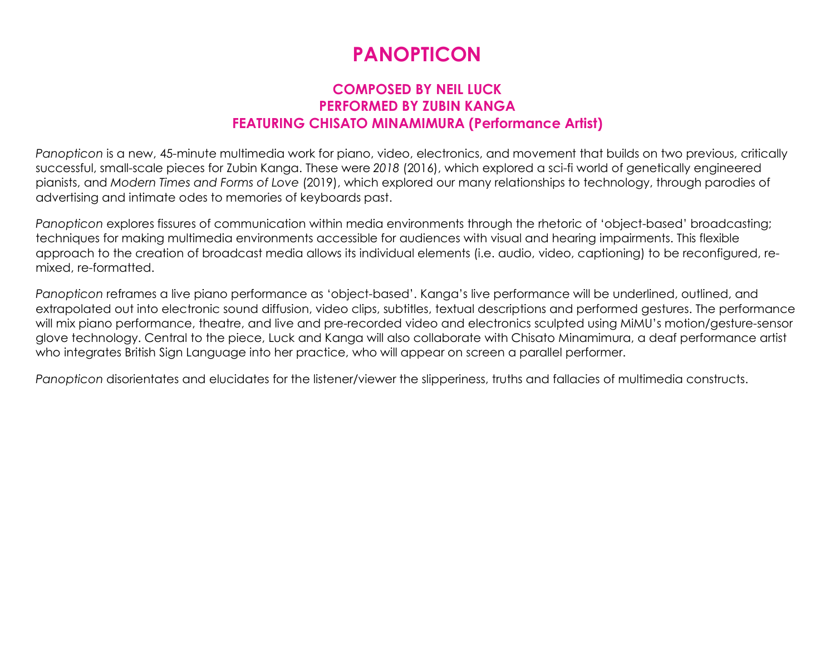## PANOPTICON

## COMPOSED BY NEIL LUCK PERFORMED BY ZUBIN KANGA FEATURING CHISATO MINAMIMURA (Performance Artist)

Panopticon is a new, 45-minute multimedia work for piano, video, electronics, and movement that builds on two previous, critically successful, small-scale pieces for Zubin Kanga. These were 2018 (2016), which explored a sci-fi world of genetically engineered pianists, and Modern Times and Forms of Love (2019), which explored our many relationships to technology, through parodies of advertising and intimate odes to memories of keyboards past.

Panopticon explores fissures of communication within media environments through the rhetoric of 'object-based' broadcasting; techniques for making multimedia environments accessible for audiences with visual and hearing impairments. This flexible approach to the creation of broadcast media allows its individual elements (i.e. audio, video, captioning) to be reconfigured, remixed, re-formatted.

Panopticon reframes a live piano performance as 'object-based'. Kanga's live performance will be underlined, outlined, and extrapolated out into electronic sound diffusion, video clips, subtitles, textual descriptions and performed gestures. The performance will mix piano performance, theatre, and live and pre-recorded video and electronics sculpted using MiMU's motion/gesture-sensor glove technology. Central to the piece, Luck and Kanga will also collaborate with Chisato Minamimura, a deaf performance artist who integrates British Sign Language into her practice, who will appear on screen a parallel performer.

Panopticon disorientates and elucidates for the listener/viewer the slipperiness, truths and fallacies of multimedia constructs.